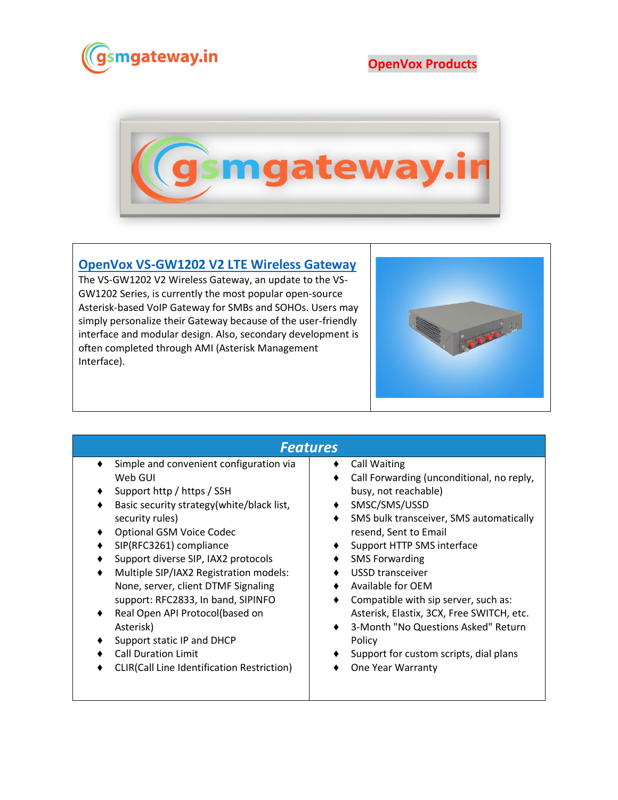

**OpenVox Products**



## **[OpenVox VS-GW1202 V2 LTE Wireless Gateway](https://www.gsmgateway.in/openvox/VS-GW1202-V2-LTE-Wireless-Gateway.html)**

The VS-GW1202 V2 Wireless Gateway, an update to the VS-GW1202 Series, is currently the most popular open-source Asterisk-based VoIP Gateway for SMBs and SOHOs. Users may simply personalize their Gateway because of the user-friendly interface and modular design. Also, secondary development is often completed through AMI (Asterisk Management Interface).



## *Features*

- ♦ Simple and convenient configuration via Web GUI
- Support http / https / SSH
- ♦ Basic security strategy(white/black list, security rules)
- ♦ Optional GSM Voice Codec
- ♦ SIP(RFC3261) compliance
- Support diverse SIP, IAX2 protocols
- Multiple SIP/IAX2 Registration models: None, server, client DTMF Signaling support: RFC2833, In band, SIPINFO
- ♦ Real Open API Protocol(based on Asterisk)
- ♦ Support static IP and DHCP
- ♦ Call Duration Limit
- ♦ CLIR(Call Line Identification Restriction)

## ♦ Call Waiting

- ♦ Call Forwarding (unconditional, no reply, busy, not reachable)
- ♦ SMSC/SMS/USSD
- ♦ SMS bulk transceiver, SMS automatically resend, Sent to Email
- ♦ Support HTTP SMS interface
- ♦ SMS Forwarding
- ♦ USSD transceiver
- ♦ Available for OEM
- ♦ Compatible with sip server, such as: Asterisk, Elastix, 3CX, Free SWITCH, etc.
- ♦ 3-Month "No Questions Asked" Return Policy
- ♦ Support for custom scripts, dial plans
- ♦ One Year Warranty